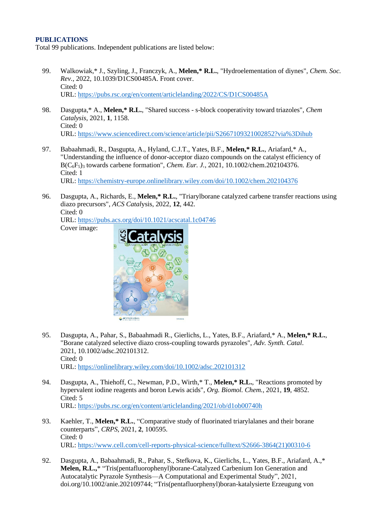### **PUBLICATIONS**

Total 99 publications. Independent publications are listed below:

- 99. Walkowiak,\* J., Szyling, J., Franczyk, A., **Melen,\* R.L.**, "Hydroelementation of diynes", *Chem. Soc. Rev.*, 2022, 10.1039/D1CS00485A. Front cover. Cited: 0 URL: <https://pubs.rsc.org/en/content/articlelanding/2022/CS/D1CS00485A>
- 98. Dasgupta,\* A., **Melen,\* R.L.**, "Shared success s-block cooperativity toward triazoles", *Chem Catalysis*, 2021, **1**, 1158. Cited: 0 URL: <https://www.sciencedirect.com/science/article/pii/S2667109321002852?via%3Dihub>
- 97. Babaahmadi, R., Dasgupta, A., Hyland, C.J.T., Yates, B.F., **Melen,\* R.L.**, Ariafard,\* A., "Understanding the influence of donor-acceptor diazo compounds on the catalyst efficiency of B(C6F5)<sup>3</sup> towards carbene formation"[,](https://chemistry-europe.onlinelibrary.wiley.com/doi/10.1002/chem.202104376) *Chem. Eur. J.*, 2021, 10.1002/chem.202104376. Cited: 1 URL:<https://chemistry-europe.onlinelibrary.wiley.com/doi/10.1002/chem.202104376>
- 96. Dasgupta, A., Richards, E., **Melen,\* R.L.**, "Triarylborane catalyzed carbene transfer reactions using diazo precursors", *ACS Catal*ysis, 2022, **12**, 442. Cited: 0 URL:<https://pubs.acs.org/doi/10.1021/acscatal.1c04746>

Cover image:



- 95. Dasgupta, A., Pahar, S., Babaahmadi R., Gierlichs, L., Yates, B.F., Ariafard,\* A., **Melen,\* R.L.**, "Borane catalyzed selective diazo cross-coupling towards pyrazoles", *Adv. Synth. Catal*. 2021, 10.1002/adsc.202101312. Cited: 0 URL:<https://onlinelibrary.wiley.com/doi/10.1002/adsc.202101312>
- 94. Dasgupta, A., Thiehoff, C., Newman, P.D., Wirth,\* T., **Melen,\* R.L.**, "Reactions promoted by hypervalent iodine reagents and boron Lewis acids", *Org. Biomol. Chem.*, 2021, **19**, 4852. Cited: 5 URL:<https://pubs.rsc.org/en/content/articlelanding/2021/ob/d1ob00740h>
- 93. Kaehler, T., **Melen,\* R.L.**, "Comparative study of fluorinated triarylalanes and their borane counterparts", *CRPS*, 2021, **2**, 100595. Cited: 0 URL: [https://www.cell.com/cell-reports-physical-science/fulltext/S2666-3864\(21\)00310-6](https://www.cell.com/cell-reports-physical-science/fulltext/S2666-3864(21)00310-6)
- 92. Dasgupta, A., Babaahmadi, R., Pahar, S., Stefkova, K., Gierlichs, L., Yates, B.F., Ariafard, A.,\* **Melen, R.L.,**\* "Tris(pentafluorophenyl)borane-Catalyzed Carbenium Ion Generation and Autocatalytic Pyrazole Synthesis—A Computational and Experimental Study", 2021, doi.org/10.1002/anie.202109744; "Tris(pentafluorphenyl)boran-katalysierte Erzeugung von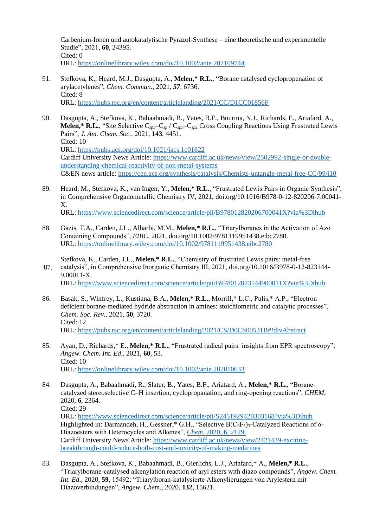Carbenium-Ionen und autokatalytische Pyrazol-Synthese – eine theoretische und experimentelle Studie", 2021, **60**, 24395. Cited: 0 URL:<https://onlinelibrary.wiley.com/doi/10.1002/anie.202109744>

- 91. Stefkova, K., Heard, M.J., Dasgupta, A., **Melen,\* R.L.**, "Borane catalysed cyclopropenation of arylacetylenes", *Chem. Commun.*, 2021, *57*, 6736. Cited: 8 URL: <https://pubs.rsc.org/en/content/articlelanding/2021/CC/D1CC01856F>
- 90. Dasgupta, A., Stefkova, K., Babaahmadi, B., Yates, B.F., Buurma, N.J., Richards, E., Ariafard, A., **Melen,\* R.L.**, "Site Selective C*sp*3–C*sp* / C*sp*3–C*sp*<sup>2</sup> Cross Coupling Reactions Using Frustrated Lewis Pairs", *J. Am. Chem. Soc.,* 2021, **143**, 4451. Cited: 10 URL:<https://pubs.acs.org/doi/10.1021/jacs.1c01622> Cardiff University News Article: [https://www.cardiff.ac.uk/news/view/2502992-single-or-double](https://www.cardiff.ac.uk/news/view/2502992-single-or-double-understanding-chemical-reactivity-of-non-metal-systems)[understanding-chemical-reactivity-of-non-metal-systems](https://www.cardiff.ac.uk/news/view/2502992-single-or-double-understanding-chemical-reactivity-of-non-metal-systems) C&EN news article:<https://cen.acs.org/synthesis/catalysis/Chemists-untangle-metal-free-CC/99/i10>
- 89. Heard, M., Stefkova, K., van Ingen, Y., **Melen,\* R.L.**, "Frustrated Lewis Pairs in Organic Synthesis", in Comprehensive Organometallic Chemistry IV, 2021, doi.org/10.1016/B978-0-12-820206-7.00041- X. URL: <https://www.sciencedirect.com/science/article/pii/B978012820206700041X?via%3Dihub>
- 88. Gazis, T.A., Carden, J.L., Alharbi, M.M., **Melen,\* R.L.**, "Triarylboranes in the Activation of Azo Containing Compounds", *EIBC*, 2021, doi.org/10.1002/9781119951438.eibc2780. URL: <https://onlinelibrary.wiley.com/doi/10.1002/9781119951438.eibc2780>
- 87. Stefkova, K., Carden, J.L., **Melen,\* R.L.**, "Chemistry of frustrated Lewis pairs: metal-free catalysis", in Comprehensive Inorganic Chemistry III, 2021, doi.org/10.1016/B978-0-12-823144- 9.00011-X. URL:<https://www.sciencedirect.com/science/article/pii/B978012823144900011X?via%3Dihub>
- 86. Basak, S., Winfrey, L., Kustiana, B.A., **Melen,\* R.L.**, Morrill,\* L.C., Pulis,\* A.P., "Electron deficient borane-mediated hydride abstraction in amines: stoichiometric and catalytic processes", *Chem. Soc. Rev.*, 2021, **50**, 3720. Cited: 12 URL:<https://pubs.rsc.org/en/content/articlelanding/2021/CS/D0CS00531B#!divAbstract>
- 85. Ayan, D., Richards,\* E., **Melen,\* R.L.**, "Frustrated radical pairs: insights from EPR spectroscopy", *Angew. Chem. Int. Ed*., 2021, **60**, 53. Cited: 10 URL:<https://onlinelibrary.wiley.com/doi/10.1002/anie.202010633>
- 84. Dasgupta, A., Babaahmadi, R., Slater, B., Yates, B.F., Ariafard, A., **Melen,\* R.L.**, "Boranecatalyzed stereoselective C–H insertion, cyclopropanation, and ring-opening reactions", *CHEM*, 2020, **6**, 2364. Cited: 29 URL:<https://www.sciencedirect.com/science/article/pii/S2451929420303168?via%3Dihub> Highlighted in: Darmandeh, H., Gessner,\* G.H., "Selective  $B(C_6F_5)_3$ -Catalyzed Reactions of  $\alpha$ -Diazoesters with Heterocycles and Alkenes", *Chem*[, 2020,](https://www.sciencedirect.com/science/article/abs/pii/S2451929420304162) **6**, 2129. Cardiff University News Article: [https://www.cardiff.ac.uk/news/view/2421439-exciting](https://www.cardiff.ac.uk/news/view/2421439-exciting-breakthrough-could-reduce-both-cost-and-toxicity-of-making-medicines)[breakthrough-could-reduce-both-cost-and-toxicity-of-making-medicines](https://www.cardiff.ac.uk/news/view/2421439-exciting-breakthrough-could-reduce-both-cost-and-toxicity-of-making-medicines)
- 83. Dasgupta, A., Stefkova, K., Babaahmadi, B., Gierlichs, L.J., Ariafard,\* A., **Melen,\* R.L.**, "Triarylborane-catalysed alkenylation reaction of aryl esters with diazo compounds", *Angew. Chem. Int. Ed*., 2020, **59**, 15492; "Triarylboran‐katalysierte Alkenylierungen von Arylestern mit Diazoverbindungen", *Angew. Chem*., 2020, **132**, 15621.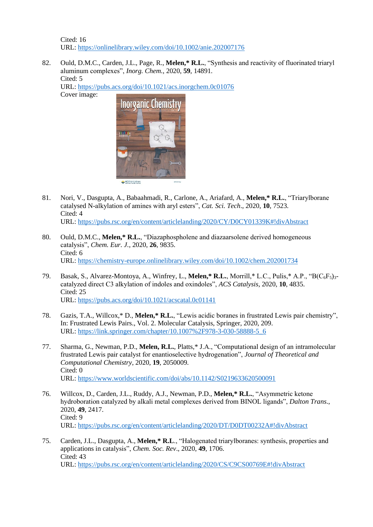Cited: 16 URL:<https://onlinelibrary.wiley.com/doi/10.1002/anie.202007176>

82. Ould, D.M.C., Carden, J.L., Page, R., **Melen,\* R.L.**, "Synthesis and reactivity of fluorinated triaryl aluminum complexes", *Inorg. Chem.*, 2020, **59**, 14891. Cited: 5

URL: <https://pubs.acs.org/doi/10.1021/acs.inorgchem.0c01076> Cover image:



- 81. Nori, V., Dasgupta, A., Babaahmadi, R., Carlone, A., Ariafard, A., **Melen,\* R.L.**, "Triarylborane catalysed N-alkylation of amines with aryl esters", *Cat. Sci. Tech*., 2020, **10**, 7523. Cited: 4 URL:<https://pubs.rsc.org/en/content/articlelanding/2020/CY/D0CY01339K#!divAbstract>
- 80. Ould, D.M.C., **Melen,\* R.L.**, "Diazaphospholene and diazaarsolene derived homogeneous catalysis", *Chem. Eur. J.*, 2020, **26**, 9835. Cited: 6 URL:<https://chemistry-europe.onlinelibrary.wiley.com/doi/10.1002/chem.202001734>
- 79. Basak, S., Alvarez-Montoya, A., Winfrey, L., Melen,\* R.L., Morrill,\* L.C., Pulis,\* A.P., "B(C<sub>6</sub>F<sub>5</sub>)<sub>3</sub>catalyzed direct C3 alkylation of indoles and oxindoles", *ACS Catalysis*, 2020, **10**, 4835. Cited: 25 URL:<https://pubs.acs.org/doi/10.1021/acscatal.0c01141>
- 78. Gazis, T.A., Willcox,\* D., **Melen,\* R.L.**, "Lewis acidic boranes in frustrated Lewis pair chemistry", In: Frustrated Lewis Pairs., Vol. 2. Molecular Catalysis, Springer, 2020, 209. URL: [https://link.springer.com/chapter/10.1007%2F978-3-030-58888-5\\_6](https://link.springer.com/chapter/10.1007%2F978-3-030-58888-5_6)
- 77. Sharma, G., Newman, P.D., **Melen, R.L.**, Platts,\* J.A., "Computational design of an intramolecular frustrated Lewis pair catalyst for enantioselective hydrogenation", *Journal of Theoretical and Computational Chemistry*, 2020, **19**, 2050009. Cited: 0 URL:<https://www.worldscientific.com/doi/abs/10.1142/S0219633620500091>
- 76. Willcox, D., Carden, J.L., Ruddy, A.J., Newman, P.D., **Melen,\* R.L.**, "Asymmetric ketone hydroboration catalyzed by alkali metal complexes derived from BINOL ligands", *Dalton Trans*., 2020, **49**, 2417. Cited: 9 URL:<https://pubs.rsc.org/en/content/articlelanding/2020/DT/D0DT00232A#!divAbstract>
- 75. Carden, J.L., Dasgupta, A., **Melen,\* R.L**., "Halogenated triarylboranes: synthesis, properties and applications in catalysis", *Chem. Soc. Rev*., 2020, **49**, 1706. Cited: 43 URL:<https://pubs.rsc.org/en/content/articlelanding/2020/CS/C9CS00769E#!divAbstract>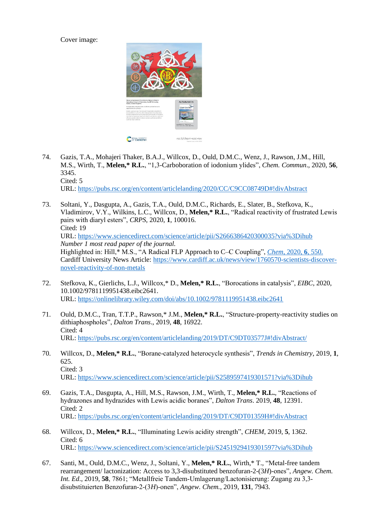Cover image:



74. Gazis, T.A., Mohajeri Thaker, B.A.J., Willcox, D., Ould, D.M.C., Wenz, J., Rawson, J.M., Hill, M.S., Wirth, T., **Melen,\* R.L.**, "1,3-Carboboration of iodonium ylides", *Chem. Commun*., 2020, **56**, 3345. Cited: 5

URL:<https://pubs.rsc.org/en/content/articlelanding/2020/CC/C9CC08749D#!divAbstract>

- 73. Soltani, Y., Dasgupta, A., Gazis, T.A., Ould, D.M.C., Richards, E., Slater, B., Stefkova, K., Vladimirov, V.Y., Wilkins, L.C., Willcox, D., **Melen,\* R.L.**, "Radical reactivity of frustrated Lewis pairs with diaryl esters", *CRPS*, 2020, **1**, 100016. Cited: 19 URL:<https://www.sciencedirect.com/science/article/pii/S2666386420300035?via%3Dihub> *Number 1 most read paper of the journal.* Highlighted in: Hill,\* M.S., "A Radical FLP Approach to C–C Coupling", *Chem*[, 2020,](https://www.sciencedirect.com/science/article/abs/pii/S2451929420300760) **6**, 550. Cardiff University News Article: [https://www.cardiff.ac.uk/news/view/1760570-scientists-discover](https://www.cardiff.ac.uk/news/view/1760570-scientists-discover-novel-reactivity-of-non-metals)[novel-reactivity-of-non-metals](https://www.cardiff.ac.uk/news/view/1760570-scientists-discover-novel-reactivity-of-non-metals)
- 72. Stefkova, K., Gierlichs, L.J., Willcox,\* D., **Melen,\* R.L.**, "Borocations in catalysis", *EIBC*, 2020, 10.1002/9781119951438.eibc2641. URL:<https://onlinelibrary.wiley.com/doi/abs/10.1002/9781119951438.eibc2641>
- 71. Ould, D.M.C., Tran, T.T.P., Rawson,\* J.M., **Melen,\* R.L.**, "Structure-property-reactivity studies on dithiaphospholes", *Dalton Trans*., 2019, **48**, 16922. Cited: 4 URL:<https://pubs.rsc.org/en/content/articlelanding/2019/DT/C9DT03577J#!divAbstract/>
- 70. Willcox, D., **Melen,\* R.L.**, "Borane-catalyzed heterocycle synthesis", *Trends in Chemistry*, 2019, **1**, 625.  $Cited: 3$ URL: <https://www.sciencedirect.com/science/article/pii/S2589597419301571?via%3Dihub>
- 69. Gazis, T.A., Dasgupta, A., Hill, M.S., Rawson, J.M., Wirth, T., **Melen,\* R.L.***,* "Reactions of hydrazones and hydrazides with Lewis acidic boranes", *Dalton Trans*. 2019, **48**, 12391. Cited: 2 URL:<https://pubs.rsc.org/en/content/articlelanding/2019/DT/C9DT01359H#!divAbstract>
- 68. Willcox, D., **Melen,\* R.L.**, "Illuminating Lewis acidity strength", *CHEM*, 2019, **5**, 1362. Cited: 6 URL:<https://www.sciencedirect.com/science/article/pii/S2451929419301597?via%3Dihub>
- 67. Santi, M., Ould, D.M.C., Wenz, J., Soltani, Y., **Melen,\* R.L.**, Wirth,\* T., "Metal-free tandem rearrangement/ lactonization: Access to 3,3-disubstituted benzofuran-2-(3*H*)-ones", *Angew. Chem. Int. Ed*., 2019, **58**, 7861; "Metallfreie Tandem‐Umlagerung/Lactonisierung: Zugang zu 3,3‐ disubstituierten Benzofuran‐2‐(3*H*)‐onen", *Angew. Chem.*, 2019, **131**, 7943.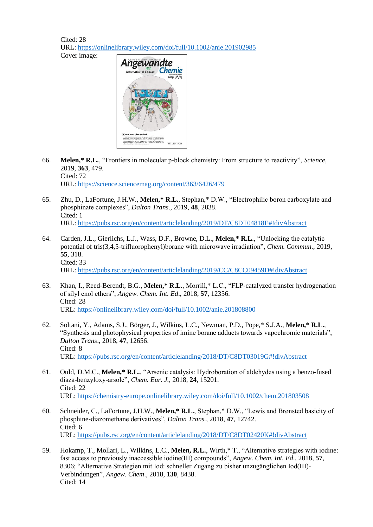Cited: 28 URL:<https://onlinelibrary.wiley.com/doi/full/10.1002/anie.201902985> Cover image:



- 66. **Melen,\* R.L.**, "Frontiers in molecular p-block chemistry: From structure to reactivity", *Science*, 2019, **363**, 479. Cited: 72 URL:<https://science.sciencemag.org/content/363/6426/479>
- 65. Zhu, D., LaFortune, J.H.W., **Melen,\* R.L.**, Stephan,\* D.W., "Electrophilic boron carboxylate and phosphinate complexes", *Dalton Trans*., 2019, **48**, 2038. Cited: 1 URL:<https://pubs.rsc.org/en/content/articlelanding/2019/DT/C8DT04818E#!divAbstract>
- 64. Carden, J.L., Gierlichs, L.J., Wass, D.F., Browne, D.L., **Melen,\* R.L**., "Unlocking the catalytic potential of tris(3,4,5-trifluorophenyl)borane with microwave irradiation", *Chem. Commun*., 2019, **55**, 318. Cited: 33 URL:<https://pubs.rsc.org/en/content/articlelanding/2019/CC/C8CC09459D#!divAbstract>
- 63. Khan, I., Reed-Berendt, B.G., **Melen,\* R.L.**, Morrill,\* L.C., "FLP-catalyzed transfer hydrogenation of silyl enol ethers", *Angew. Chem. Int. Ed*., 2018, **57**, 12356. Cited: 28 URL:<https://onlinelibrary.wiley.com/doi/full/10.1002/anie.201808800>
- 62. Soltani, Y., Adams, S.J., Börger, J., Wilkins, L.C., Newman, P.D., Pope,\* S.J.A., **Melen,\* R.L.**, "Synthesis and photophysical properties of imine borane adducts towards vapochromic materials", *Dalton Trans*., 2018, **47**, 12656. Cited: 8 URL:<https://pubs.rsc.org/en/content/articlelanding/2018/DT/C8DT03019G#!divAbstract>
- 61. Ould, D.M.C., **Melen,\* R.L.**, "Arsenic catalysis: Hydroboration of aldehydes using a benzo-fused diaza-benzyloxy-arsole", *Chem. Eur. J.*, 2018, **24**, 15201. Cited: 22 URL:<https://chemistry-europe.onlinelibrary.wiley.com/doi/full/10.1002/chem.201803508>
- 60. Schneider, C., LaFortune, J.H.W., **Melen,\* R.L.**, Stephan,\* D.W., "Lewis and Brønsted basicity of phosphine-diazomethane derivatives", *Dalton Trans.*, 2018, **47**, 12742. Cited: 6 URL:<https://pubs.rsc.org/en/content/articlelanding/2018/DT/C8DT02420K#!divAbstract>
- 59. Hokamp, T., Mollari, L., Wilkins, L.C., **Melen, R.L.**, Wirth,\* T., "Alternative strategies with iodine: fast access to previously inaccessible iodine(III) compounds", *Angew. Chem. Int. Ed*., 2018, **57**, 8306; "Alternative Strategien mit Iod: schneller Zugang zu bisher unzugänglichen Iod(III)‐ Verbindungen", *Angew. Chem*., 2018, **130**, 8438. Cited: 14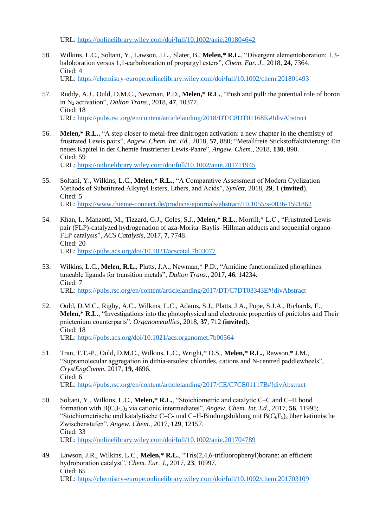URL:<https://onlinelibrary.wiley.com/doi/full/10.1002/anie.201804642>

- 58. Wilkins, L.C., Soltani, Y., Lawson, J.L., Slater, B., **Melen,\* R.L.**, "Divergent elementoboration: 1,3 haloboration versus 1,1-carboboration of propargyl esters", *Chem. Eur. J.*, 2018, **24**, 7364. Cited: 4 URL:<https://chemistry-europe.onlinelibrary.wiley.com/doi/full/10.1002/chem.201801493>
- 57. Ruddy, A.J., Ould, D.M.C., Newman, P.D., **Melen,\* R.L.**, "Push and pull: the potential role of boron in N<sup>2</sup> activation", *Dalton Trans.*, 2018, **47**, 10377. Cited: 18 URL:<https://pubs.rsc.org/en/content/articlelanding/2018/DT/C8DT01168K#!divAbstract>
- 56. **Melen,\* R.L.**, "A step closer to metal-free dinitrogen activation: a new chapter in the chemistry of frustrated Lewis pairs", *Angew. Chem. Int. Ed.*, 2018, **57**, 880; "Metallfreie Stickstoffaktivierung: Ein neues Kapitel in der Chemie frustrierter Lewis-Paare", *Angew. Chem.*, 2018, **130**, 890. Cited: 59 URL:<https://onlinelibrary.wiley.com/doi/full/10.1002/anie.201711945>
- 55. Soltani, Y., Wilkins, L.C., **Melen,\* R.L.**, "A Comparative Assessment of Modern Cyclization Methods of Substituted Alkynyl Esters, Ethers, and Acids", *Synlett*, 2018, **29**, 1 (**invited**). Cited: 5 URL:<https://www.thieme-connect.de/products/ejournals/abstract/10.1055/s-0036-1591862>
- 54. Khan, I., Manzotti, M., Tizzard, G.J., Coles, S.J., **Melen,\* R.L.**, Morrill,\* L.C., "Frustrated Lewis pair (FLP)-catalyzed hydrogenation of aza-Morita–Baylis–Hillman adducts and sequential organo-FLP catalysis", *ACS Catalysis*, 2017, **7**, 7748. Cited: 20 URL:<https://pubs.acs.org/doi/10.1021/acscatal.7b03077>
- 53. Wilkins, L.C., **Melen, R.L.**, Platts, J.A., Newman,\* P.D., "Amidine functionalized phosphines: tuneable ligands for transition metals", *Dalton Trans.*, 2017, **46**, 14234. Cited: 7 URL:<https://pubs.rsc.org/en/content/articlelanding/2017/DT/C7DT03343E#!divAbstract>
- 52. Ould, D.M.C., Rigby, A.C., Wilkins, L.C., Adams, S.J., Platts, J.A., Pope, S.J.A., Richards, E., **Melen,\* R.L.**, "Investigations into the photophysical and electronic properties of pnictoles and Their pnictenium counterparts", *Organometallics*, 2018, **37**, 712 (**invited**). Cited: 18 URL:<https://pubs.acs.org/doi/10.1021/acs.organomet.7b00564>
- 51. Tran, T.T.-P., Ould, D.M.C., Wilkins, L.C., Wright,\* D.S., **Melen,\* R.L.**, Rawson,\* J.M., "Supramolecular aggregation in dithia-arsoles: chlorides, cations and N-centred paddlewheels", *CrystEngComm*, 2017, **19**, 4696. Cited: 6 URL:<https://pubs.rsc.org/en/content/articlelanding/2017/CE/C7CE01117B#!divAbstract>
- 50. Soltani, Y., Wilkins, L.C., **Melen,\* R.L.**, "Stoichiometric and catalytic C–C and C–H bond formation with B(C6F5)<sup>3</sup> via cationic intermediates", *Angew. Chem. Int. Ed*., 2017, **56**, 11995; "Stöchiometrische und katalytische C–C- und C–H-Bindungsbildung mit  $B(C_6F_5)$ 3 über kationische Zwischenstufen", *Angew. Chem*., 2017, **129**, 12157. Cited: 33 URL:<https://onlinelibrary.wiley.com/doi/full/10.1002/anie.201704789>
- 49. Lawson, J.R., Wilkins, L.C., **Melen,\* R.L.**, "Tris(2,4,6-trifluorophenyl)borane: an efficient hydroboration catalyst", *Chem. Eur. J*., 2017, **23**, 10997. Cited: 65 URL:<https://chemistry-europe.onlinelibrary.wiley.com/doi/full/10.1002/chem.201703109>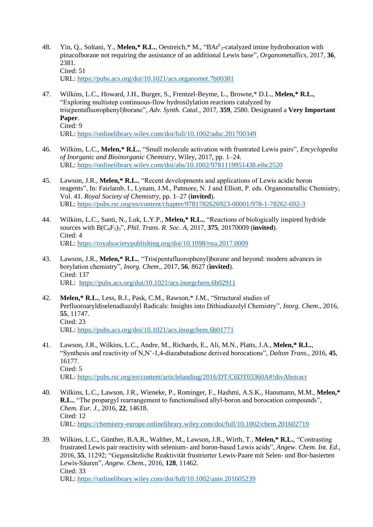- 48. Yin, Q., Soltani, Y., **Melen,\* R.L.**, Oestreich,\* M., "BAr<sup>F</sup> <sup>3</sup>-catalyzed imine hydroboration with pinacolborane not requiring the assistance of an additional Lewis base", *Organometallics*, 2017, **36**, 2381. Cited: 51 URL:<https://pubs.acs.org/doi/10.1021/acs.organomet.7b00381>
- 47. Wilkins, L.C., Howard, J.H., Burger, S., Frentzel-Beyme, L., Browne,\* D.L., **Melen,\* R.L.**, "Exploring multistep continuous-flow hydrosilylation reactions catalyzed by tris(pentafluorophenyl)borane", *Adv. Synth. Catal.*, 2017, **359**, 2580. Designated a **Very Important Paper**. Cited: 9 URL:<https://onlinelibrary.wiley.com/doi/full/10.1002/adsc.201700349>
- 46. Wilkins, L.C., **Melen,\* R.L.**, "Small molecule activation with frustrated Lewis pairs", *Encyclopedia of Inorganic and Bioinorganic Chemistry*, Wiley, 2017, pp. 1–24. URL:<https://onlinelibrary.wiley.com/doi/abs/10.1002/9781119951438.eibc2520>
- 45. Lawson, J.R., **Melen,\* R.L.**, "Recent developments and applications of Lewis acidic boron reagents", In: Fairlamb, I., Lynam, J.M., Patmore, N. J and Elliott, P. eds. Organometallic Chemistry, Vol. 41. *Royal Society of Chemistry*, pp. 1–27 (**invited**). URL:<https://pubs.rsc.org/en/content/chapter/9781782626923-00001/978-1-78262-692-3>
- 44. Wilkins, L.C., Santi, N., Luk, L.Y.P., **Melen,\* R.L.**, "Reactions of biologically inspired hydride sources with B(C6F5)3", *Phil. Trans. R. Soc. A*, 2017, **375**, 20170009 (**invited**). Cited: 4 URL:<https://royalsocietypublishing.org/doi/10.1098/rsta.2017.0009>
- 43. Lawson, J.R., **Melen,\* R.L.**, "Tris(pentafluorophenyl)borane and beyond: modern advances in borylation chemistry", *Inorg. Chem*., 2017, **56**, 8627 (**invited**). Cited: 137 URL: <https://pubs.acs.org/doi/10.1021/acs.inorgchem.6b02911>
- 42. **Melen,\* R.L.**, Less, R.J., Pask, C.M., Rawson,\* J.M., "Structural studies of Perfluoroaryldiselenadiazolyl Radicals: Insights into Dithiadiazolyl Chemistry", *Inorg. Chem*., 2016, **55**, 11747. Cited: 23 URL:<https://pubs.acs.org/doi/10.1021/acs.inorgchem.6b01771>
- 41. Lawson, J.R., Wilkins, L.C., Andre, M., Richards, E., Ali, M.N., Platts, J.A., **Melen,\* R.L.**, "Synthesis and reactivity of N,N'-1,4-diazabutadiene derived borocations", *Dalton Trans.*, 2016, **45**, 16177. Cited: 5 URL:<https://pubs.rsc.org/en/content/articlelanding/2016/DT/C6DT03360A#!divAbstract>
- 40. Wilkins, L.C., Lawson, J.R., Wieneke, P., Rominger, F., Hashmi, A.S.K., Hansmann, M.M., **Melen,\* R.L.**, "The propargyl rearrangement to functionalised allyl-boron and borocation compounds", *Chem. Eur. J.*, 2016, **22**, 14618. Cited: 12 URL:<https://chemistry-europe.onlinelibrary.wiley.com/doi/full/10.1002/chem.201602719>
- 39. Wilkins, L.C., Günther, B.A.R., Walther, M., Lawson, J.R., Wirth, T., **Melen,\* R.L.**, "Contrasting frustrated Lewis pair reactivity with selenium- and boron-based Lewis acids", *Angew. Chem. Int. Ed*., 2016, **55**, 11292; "Gegensätzliche Reaktivität frustrierter Lewis-Paare mit Selen- und Bor-basierten Lewis-Säuren", *Angew. Chem.*, 2016, **128**, 11462. Cited: 33 URL:<https://onlinelibrary.wiley.com/doi/full/10.1002/anie.201605239>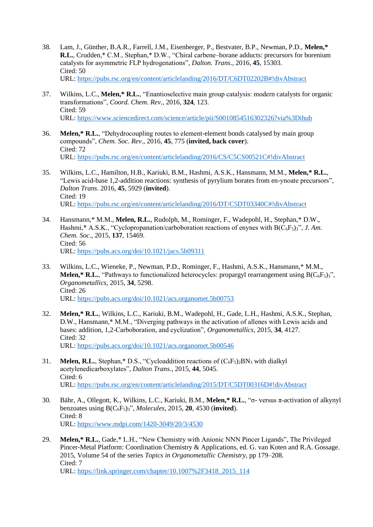- 38. Lam, J., Günther, B.A.R., Farrell, J.M., Eisenberger, P., Bestvater, B.P., Newman, P.D., **Melen,\* R.L.**, Crudden,\* C.M., Stephan,\* D.W., "Chiral carbene–borane adducts: precursors for borenium catalysts for asymmetric FLP hydrogenations", *Dalton. Trans*., 2016, **45**, 15303. Cited: 50 URL:<https://pubs.rsc.org/en/content/articlelanding/2016/DT/C6DT02202B#!divAbstract>
- 37. Wilkins, L.C., **Melen,\* R.L.**, "Enantioselective main group catalysis: modern catalysts for organic transformations", *Coord. Chem. Rev.*, 2016, **324**, 123. Cited: 59 URL:<https://www.sciencedirect.com/science/article/pii/S0010854516302326?via%3Dihub>
- 36. **Melen,\* R.L.**, "Dehydrocoupling routes to element-element bonds catalysed by main group compounds", *Chem. Soc. Rev.,* 2016, **45**, 775 (**invited, back cover**). Cited: 72 URL:<https://pubs.rsc.org/en/content/articlelanding/2016/CS/C5CS00521C#!divAbstract>
- 35. Wilkins, L.C., Hamilton, H.B., Kariuki, B.M., Hashmi, A.S.K., Hansmann, M.M., **Melen,\* R.L.**, "Lewis acid-base 1,2-addition reactions: synthesis of pyrylium borates from en-ynoate precursors", *Dalton Trans*. 2016, **45**, 5929 (**invited**). Cited: 19 URL:<https://pubs.rsc.org/en/content/articlelanding/2016/DT/C5DT03340C#!divAbstract>
- 34. Hansmann,\* M.M., **Melen, R.L.**, Rudolph, M., Rominger, F., Wadepohl, H., Stephan,\* D.W., Hashmi,\* A.S.K., "Cyclopropanation/carboboration reactions of enynes with B(C<sub>6</sub>F<sub>5</sub>)<sub>3</sub>", *J. Am. Chem. Soc*., 2015, **137**, 15469. Cited: 56 URL:<https://pubs.acs.org/doi/10.1021/jacs.5b09311>
- 33. Wilkins, L.C., Wieneke, P., Newman, P.D., Rominger, F., Hashmi, A.S.K., Hansmann,\* M.M., **Melen,\* R.L.**, "Pathways to functionalized heterocycles: propargyl rearrangement using  $B(C_6F_5)$ <sup>3"</sup>, *Organometallics*, 2015, **34**, 5298. Cited: 26 URL:<https://pubs.acs.org/doi/10.1021/acs.organomet.5b00753>
- 32. **Melen,\* R.L.**, Wilkins, L.C., Kariuki, B.M., Wadepohl, H., Gade, L.H., Hashmi, A.S.K., Stephan, D.W., Hansmann,\* M.M., "Diverging pathways in the activation of allenes with Lewis acids and bases: addition, 1,2-Carboboration, and cyclization", *Organometallics*, 2015, **34**, 4127. Cited: 32 URL:<https://pubs.acs.org/doi/10.1021/acs.organomet.5b00546>
- 31. **Melen, R.L.**, Stephan,\* D.S., "Cycloaddition reactions of  $(C_6F_5)$ <sup>2</sup><sub>2</sub>BN<sub>3</sub> with dialkyl acetylenedicarboxylates", *Dalton Trans*., 2015, **44**, 5045. Cited: 6 URL:<https://pubs.rsc.org/en/content/articlelanding/2015/DT/C5DT00316D#!divAbstract>
- 30. Bähr, A., Ollegott, K., Wilkins, L.C., Kariuki, B.M., **Melen,\* R.L.**, "σ- versus π-activation of alkynyl benzoates using B(C6F5)3", *Molecules*, 2015, **20**, 4530 (**invited**). Cited: 8 URL:<https://www.mdpi.com/1420-3049/20/3/4530>
- 29. **Melen,\* R.L.**, Gade,\* L.H., "New Chemistry with Anionic NNN Pincer Ligands", The Privileged Pincer-Metal Platform: Coordination Chemistry & Applications, ed. G. van Koten and R.A. Gossage. 2015, Volume 54 of the series *Topics in Organometallic Chemistry*, pp 179–208. Cited: 7 URL: [https://link.springer.com/chapter/10.1007%2F3418\\_2015\\_114](https://link.springer.com/chapter/10.1007%2F3418_2015_114)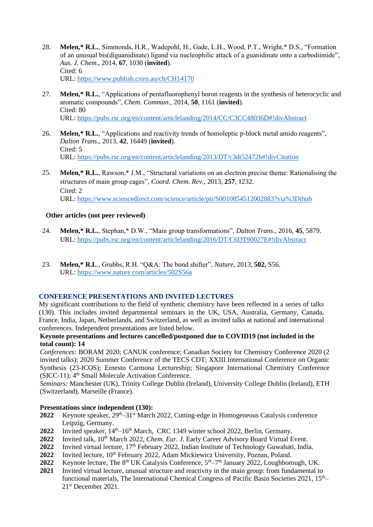- 28. **Melen,\* R.L.**, Simmonds, H.R., Wadepohl, H., Gade, L.H., Wood, P.T., Wright,\* D.S., "Formation of an unusual bis(diguanidinate) ligand via nucleophilic attack of a guanidinate onto a carbodiimide", *Aus. J. Chem*., 2014, **67**, 1030 (**invited**). Cited: 6 URL:<https://www.publish.csiro.au/ch/CH14170>
- 27. **Melen,\* R.L.**, "Applications of pentafluorophenyl boron reagents in the synthesis of heterocyclic and aromatic compounds", *Chem. Commun*., 2014, **50**, 1161 (**invited**). Cited: 80 URL:<https://pubs.rsc.org/en/content/articlelanding/2014/CC/C3CC48036D#!divAbstract>
- 26. **Melen,\* R.L.**, "Applications and reactivity trends of homoleptic p-block metal amido reagents", *Dalton Trans*., 2013, **42**, 16449 (**invited**). Cited:  $5$ URL:<https://pubs.rsc.org/en/content/articlelanding/2013/DT/c3dt52472h#!divCitation>
- 25. **Melen,\* R.L.**, Rawson,\* J.M., "Structural variations on an electron precise theme: Rationalising the structures of main group cages", *Coord. Chem. Rev.*, 2013, **257**, 1232. Cited: 2 URL:<https://www.sciencedirect.com/science/article/pii/S0010854512002883?via%3Dihub>

### **Other articles (not peer reviewed)**

- 24. **Melen,\* R.L.**, Stephan,\* D.W., "Main group transformations", *Dalton Trans*., 2016, **45**, 5879. URL:<https://pubs.rsc.org/en/content/articlelanding/2016/DT/C6DT90027E#!divAbstract>
- 23. **Melen,\* R.L**., Grubbs, R.H. "Q&A: The bond shifter", *Nature*, 2013, **502**, S56. URL:<https://www.nature.com/articles/502S56a>

# **CONFERENCE PRESENTATIONS AND INVITED LECTURES**

My significant contributions to the field of synthetic chemistry have been reflected in a series of talks (130). This includes invited departmental seminars in the UK, USA, Australia, Germany, Canada, France, India, Japan, Netherlands, and Switzerland, as well as invited talks at national and international conferences. Independent presentations are listed below.

## **Keynote presentations and lectures cancelled/postponed due to COVID19 (not included in the total count): 14**

*Conferences:* BORAM 2020; CANUK conference; Canadian Society for Chemistry Conference 2020 (2 invited talks); 2020 Summer Conference of the TECS CDT; XXIII International Conference on Organic Synthesis (23-ICOS); Ernesto Carmona Lectureship; Singapore International Chemistry Conference (SICC-11); 4<sup>th</sup> Small Molecule Activation Conference.

*Seminars:* Manchester (UK), Trinity College Dublin (Ireland), University College Dublin (Ireland), ETH (Switzerland), Marseille (France).

### **Presentations since independent (130):**

- **2022** Keynote speaker, 29th–31st March 2022, Cutting-edge in Homogeneous Catalysis conference Leipzig, Germany.
- **2022** Invited speaker,  $14<sup>th</sup>-16<sup>th</sup>$  March, CRC 1349 winter school 2022, Berlin, Germany.
- 2022 Invited talk, 10<sup>th</sup> March 2022, *Chem. Eur. J.* Early Career Advisory Board Virtual Event.
- **2022** Invited virtual lecture, 17<sup>th</sup> February 2022, Indian Institute of Technology Guwahati, India.
- 2022 Invited lecture, 10<sup>th</sup> February 2022, Adam Mickiewicz University, Poznan, Poland.
- **2022** Keynote lecture, The 8<sup>th</sup> UK Catalysis Conference,  $5<sup>th</sup>-7<sup>th</sup>$  January 2022, Loughborough, UK.
- **2021** Invited virtual lecture, unusual structure and reactivity in the main group: from fundamental to functional materials, The International Chemical Congress of Pacific Basin Societies 2021, 15<sup>th</sup>– 21st December 2021.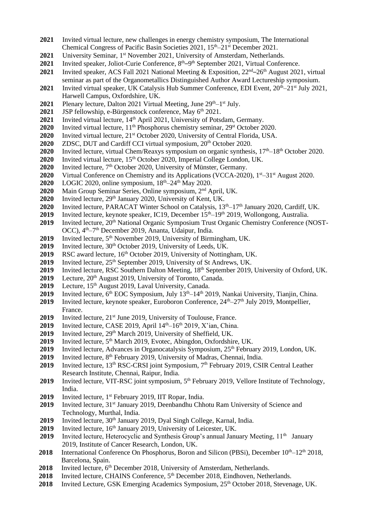- **2021** Invited virtual lecture, new challenges in energy chemistry symposium, The International Chemical Congress of Pacific Basin Societies  $2021$ ,  $15<sup>th</sup>-21<sup>st</sup>$  December 2021.
- 2021 University Seminar, 1<sup>st</sup> November 2021, University of Amsterdam, Netherlands.
- 2021 Invited speaker, Joliot-Curie Conference, 8<sup>th</sup>–9<sup>th</sup> September 2021, Virtual Conference.
- 2021 Invited speaker, ACS Fall 2021 National Meeting & Exposition, 22<sup>nd</sup>–26<sup>th</sup> August 2021, virtual seminar as part of the Organometallics Distinguished Author Award Lectureship symposium.
- **2021** Invited virtual speaker, UK Catalysis Hub Summer Conference, EDI Event,  $20^{th}$ – $21^{st}$  July 2021, Harwell Campus, Oxfordshire, UK.
- **2021** Plenary lecture, Dalton 2021 Virtual Meeting, June 29<sup>th</sup>–1<sup>st</sup> July.
- **2021 JSP** fellowship, e-Bürgenstock conference, May 6<sup>th</sup> 2021.
- 2021 Invited virtual lecture, 14<sup>th</sup> April 2021, University of Potsdam, Germany.
- **2020** Invited virtual lecture,  $11^{\text{th}}$  Phosphorus chemistry seminar, 29<sup>st</sup> October 2020.
- **2020** Invited virtual lecture, 21st October 2020, University of Central Florida, USA.
- **2020** ZDSC, DUT and Cardiff CCI virtual symposium, 20th October 2020.
- **2020** Invited lecture, virtual Chem/Reaxys symposium on organic synthesis,  $17<sup>th</sup>-18<sup>th</sup>$  October 2020.
- 2020 Invited virtual lecture, 15<sup>th</sup> October 2020, Imperial College London, UK.
- **2020** Invited lecture, 7<sup>th</sup> October 2020, University of Münster, Germany.
- **2020** Virtual Conference on Chemistry and its Applications (VCCA-2020), 1<sup>st</sup>–31<sup>st</sup> August 2020.
- **2020** LOGIC 2020, online symposium,  $18<sup>th</sup>-24<sup>th</sup>$  May 2020.
- **2020** Main Group Seminar Series, Online symposium, 2nd April, UK.
- **2020** Invited lecture, 29th January 2020, University of Kent, UK.
- **2020** Invited lecture, PARACAT Winter School on Catalysis, 13th–17th January 2020, Cardiff, UK.
- 2019 Invited lecture, keynote speaker, IC19, December 15<sup>th</sup>–19<sup>th</sup> 2019, Wollongong, Australia.
- 2019 Invited lecture, 20<sup>th</sup> National Organic Symposium Trust Organic Chemistry Conference (NOST-OCC), 4<sup>th</sup>–7<sup>th</sup> December 2019, Ananta, Udaipur, India.
- **2019** Invited lecture, 5th November 2019, University of Birmingham, UK.
- 2019 Invited lecture, 30<sup>th</sup> October 2019, University of Leeds, UK.
- **2019** RSC award lecture, 16<sup>th</sup> October 2019, University of Nottingham, UK.
- 2019 Invited lecture, 25<sup>th</sup> September 2019, University of St Andrews, UK.
- 2019 Invited lecture, RSC Southern Dalton Meeting, 18<sup>th</sup> September 2019, University of Oxford, UK.
- 2019 Lecture, 20<sup>th</sup> August 2019, University of Toronto, Canada.
- 2019 Lecture, 15<sup>th</sup> August 2019, Laval University, Canada.
- **2019** Invited lecture, 6<sup>th</sup> EOC Symposium, July 13<sup>th</sup>–14<sup>th</sup> 2019, Nankai University, Tianjin, China.
- 2019 Invited lecture, keynote speaker, Euroboron Conference, 24<sup>th</sup>–27<sup>th</sup> July 2019, Montpellier, France.
- 2019 Invited lecture, 21<sup>st</sup> June 2019, University of Toulouse, France.
- **2019** Invited lecture, CASE 2019, April  $14<sup>th</sup> 16<sup>th</sup>$  2019, X'ian, China.
- 2019 Invited lecture, 29<sup>th</sup> March 2019, University of Sheffield, UK.
- 2019 Invited lecture, 5<sup>th</sup> March 2019, Evotec, Abingdon, Oxfordshire, UK.
- 2019 Invited lecture, Advances in Organocatalysis Symposium, 25<sup>th</sup> February 2019, London, UK.
- **2019** Invited lecture, 8<sup>th</sup> February 2019, University of Madras, Chennai, India.
- 2019 Invited lecture, 13<sup>th</sup> RSC-CRSI joint Symposium, 7<sup>th</sup> February 2019, CSIR Central Leather Research Institute, Chennai, Raipur, India.
- **2019** Invited lecture, VIT-RSC joint symposium, 5<sup>th</sup> February 2019, Vellore Institute of Technology, India.
- 2019 Invited lecture, 1<sup>st</sup> February 2019, IIT Ropar, India.
- 2019 Invited lecture, 31<sup>st</sup> January 2019, Deenbandhu Chhotu Ram University of Science and Technology, Murthal, India.
- 2019 Invited lecture, 30<sup>th</sup> January 2019, Dyal Singh College, Karnal, India.
- **2019** Invited lecture, 16th January 2019, University of Leicester, UK.
- 2019 Invited lecture, Heterocyclic and Synthesis Group's annual January Meeting, 11<sup>th</sup> January 2019, Institute of Cancer Research, London, UK.
- 2018 International Conference On Phosphorus, Boron and Silicon (PBSi), December  $10^{th}$ –12<sup>th</sup> 2018, Barcelona, Spain.
- 2018 Invited lecture, 6<sup>th</sup> December 2018, University of Amsterdam, Netherlands.
- 2018 Invited lecture, CHAINS Conference, 5<sup>th</sup> December 2018, Eindhoven, Netherlands.
- 2018 Invited Lecture, GSK Emerging Academics Symposium, 25<sup>th</sup> October 2018, Stevenage, UK.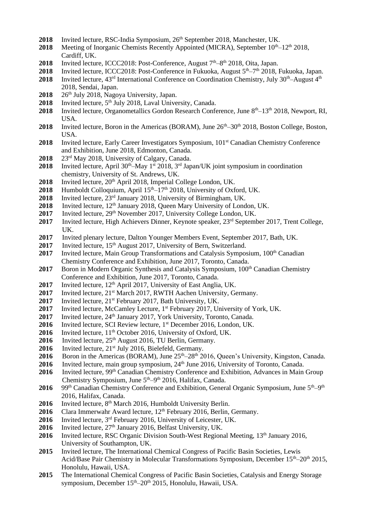- **2018** Invited lecture, RSC-India Symposium, 26<sup>th</sup> September 2018, Manchester, UK.
- **2018** Meeting of Inorganic Chemists Recently Appointed (MICRA), September  $10^{th}$ – $12^{th}$  2018, Cardiff, UK.
- 2018 Invited lecture, ICCC2018: Post-Conference, August 7<sup>th</sup>–8<sup>th</sup> 2018, Oita, Japan.
- 2018 Invited lecture, ICCC2018: Post-Conference in Fukuoka, August 5<sup>th</sup>–7<sup>th</sup> 2018, Fukuoka, Japan.
- **2018** Invited lecture,  $43^{rd}$  International Conference on Coordination Chemistry, July  $30^{th}$ –August  $4^{th}$ 2018, Sendai, Japan.
- **2018** 26th July 2018, Nagoya University, Japan.
- 2018 Invited lecture, 5<sup>th</sup> July 2018, Laval University, Canada.
- 2018 Invited lecture, Organometallics Gordon Research Conference, June 8<sup>th</sup>–13<sup>th</sup> 2018, Newport, RI, USA.
- **2018** Invited lecture, Boron in the Americas (BORAM), June  $26<sup>th</sup>-30<sup>th</sup>$  2018, Boston College, Boston, USA.
- 2018 Invited lecture, Early Career Investigators Symposium, 101<sup>st</sup> Canadian Chemistry Conference and Exhibition, June 2018, Edmonton, Canada.
- **2018** 23rd May 2018, University of Calgary, Canada.
- 2018 Invited lecture, April 30<sup>th</sup>–May 1<sup>st</sup> 2018, 3<sup>rd</sup> Japan/UK joint symposium in coordination chemistry, University of St. Andrews, UK.
- 2018 Invited lecture, 20<sup>th</sup> April 2018, Imperial College London, UK.
- 2018 Humboldt Colloquium, April  $15<sup>th</sup> 17<sup>th</sup>$  2018, University of Oxford, UK.
- **2018** Invited lecture, 23rd January 2018, University of Birmingham, UK.
- 2018 Invited lecture, 12<sup>th</sup> January 2018, Queen Mary University of London, UK.
- **2017** Invited lecture, 29<sup>th</sup> November 2017, University College London, UK.
- **2017** Invited lecture, High Achievers Dinner, Keynote speaker, 23rd September 2017, Trent College, UK.
- **2017** Invited plenary lecture, Dalton Younger Members Event, September 2017, Bath, UK.
- **2017** Invited lecture, 15<sup>th</sup> August 2017, University of Bern, Switzerland.
- 2017 Invited lecture, Main Group Transformations and Catalysis Symposium, 100<sup>th</sup> Canadian Chemistry Conference and Exhibition, June 2017, Toronto, Canada.
- 2017 Boron in Modern Organic Synthesis and Catalysis Symposium, 100<sup>th</sup> Canadian Chemistry Conference and Exhibition, June 2017, Toronto, Canada.
- **2017** Invited lecture, 12<sup>th</sup> April 2017, University of East Anglia, UK.
- **2017** Invited lecture, 21<sup>st</sup> March 2017, RWTH Aachen University, Germany.
- 2017 Invited lecture, 21<sup>st</sup> February 2017, Bath University, UK.
- **2017** Invited lecture, McCamley Lecture, 1st February 2017, University of York, UK.
- **2017** Invited lecture, 24<sup>th</sup> January 2017, York University, Toronto, Canada.
- 2016 Invited lecture, SCI Review lecture, 1<sup>st</sup> December 2016, London, UK.
- **2016** Invited lecture, 11<sup>th</sup> October 2016, University of Oxford, UK.
- 2016 Invited lecture, 25<sup>th</sup> August 2016, TU Berlin, Germany.
- 2016 Invited lecture, 21<sup>st</sup> July 2016, Bielefeld, Germany.
- 2016 Boron in the Americas (BORAM), June 25<sup>th</sup>–28<sup>th</sup> 2016, Queen's University, Kingston, Canada.
- 2016 Invited lecture, main group symposium, 24<sup>th</sup> June 2016, University of Toronto, Canada.
- **2016** Invited lecture, 99<sup>th</sup> Canadian Chemistry Conference and Exhibition, Advances in Main Group Chemistry Symposium, June 5<sup>th</sup>-9<sup>th</sup> 2016, Halifax, Canada.
- 2016 99<sup>th</sup> Canadian Chemistry Conference and Exhibition, General Organic Symposium, June 5<sup>th</sup>–9<sup>th</sup> 2016, Halifax, Canada.
- 2016 Invited lecture, 8<sup>th</sup> March 2016, Humboldt University Berlin.
- 2016 Clara Immerwahr Award lecture, 12<sup>th</sup> February 2016, Berlin, Germany.
- **2016** Invited lecture, 3rd February 2016, University of Leicester, UK.
- 2016 Invited lecture,  $27<sup>th</sup>$  January 2016, Belfast University, UK.
- 2016 Invited lecture, RSC Organic Division South-West Regional Meeting, 13<sup>th</sup> January 2016, University of Southampton, UK.
- **2015** Invited lecture, The International Chemical Congress of Pacific Basin Societies, Lewis Acid/Base Pair Chemistry in Molecular Transformations Symposium, December 15th–20th 2015, Honolulu, Hawaii, USA.
- **2015** The International Chemical Congress of Pacific Basin Societies, Catalysis and Energy Storage symposium, December 15<sup>th</sup>–20<sup>th</sup> 2015, Honolulu, Hawaii, USA.